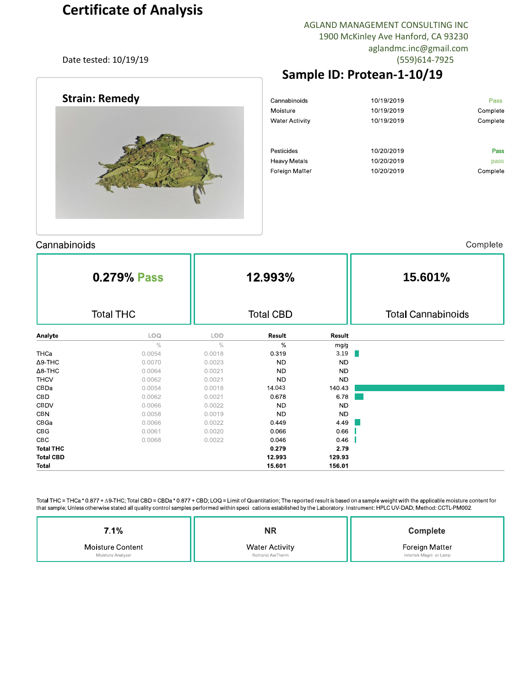# **Certificate of Analysis**

AGLAND MANAGEMENT CONSULTING INC 1900 McKinley Ave Hanford, CA 93230 aglandmc.inc@gmail.com Date tested: 10/19/19 (559)614-7925

## **Sample ID: Protean-1-10/19**

| Cannabinoids          | 10/19/2019 | Pass     |
|-----------------------|------------|----------|
| Moisture              | 10/19/2019 | Complete |
| <b>Water Activity</b> | 10/19/2019 | Complete |
|                       |            |          |
|                       |            |          |
| Pesticides            | 10/20/2019 | Pass     |
| <b>Heavy Metals</b>   | 10/20/2019 | pass     |
| <b>Foreign Matter</b> | 10/20/2019 | Complete |
|                       |            |          |
|                       |            |          |



nn no p t

|                  | 0.279% Pass |                  | 12.993%   |           | 15.601%                   |  |  |  |  |
|------------------|-------------|------------------|-----------|-----------|---------------------------|--|--|--|--|
| <b>Total THC</b> |             | <b>Total CBD</b> |           |           | <b>Total Cannabinoids</b> |  |  |  |  |
| Analyte          | LOQ         | LOD              | Result    | Result    |                           |  |  |  |  |
|                  | $\%$        | $\frac{0}{0}$    | %         | mg/g      |                           |  |  |  |  |
| THCa             | 0.0054      | 0.0018           | 0.319     | 3.19      |                           |  |  |  |  |
| $\Delta$ 9-THC   | 0.0070      | 0.0023           | <b>ND</b> | <b>ND</b> |                           |  |  |  |  |
| $\Delta$ 8-THC   | 0.0064      | 0.0021           | <b>ND</b> | <b>ND</b> |                           |  |  |  |  |
| <b>THCV</b>      | 0.0062      | 0.0021           | <b>ND</b> | <b>ND</b> |                           |  |  |  |  |
| CBDa             | 0.0054      | 0.0018           | 14.043    | 140.43    |                           |  |  |  |  |
| CBD              | 0.0062      | 0.0021           | 0.678     | 6.78      |                           |  |  |  |  |
| <b>CBDV</b>      | 0.0066      | 0.0022           | <b>ND</b> | <b>ND</b> |                           |  |  |  |  |
| <b>CBN</b>       | 0.0058      | 0.0019           | <b>ND</b> | ND        |                           |  |  |  |  |
| CBGa             | 0.0066      | 0.0022           | 0.449     | 4.49      |                           |  |  |  |  |
| CBG              | 0.0061      | 0.0020           | 0.066     | 0.66      |                           |  |  |  |  |
| <b>CBC</b>       | 0.0068      | 0.0022           | 0.046     | 0.46      |                           |  |  |  |  |
| <b>Total THC</b> |             |                  | 0.279     | 2.79      |                           |  |  |  |  |
| <b>Total CBD</b> |             |                  | 12.993    | 129.93    |                           |  |  |  |  |
| <b>Total</b>     |             |                  | 15.601    | 156.01    |                           |  |  |  |  |

Total THC = THCa \* 0.877 +  $\Delta$ 9-THC; Total CBD = CBDa \* 0.877 + CBD; LOQ = Limit of Quantitation; The reported result is based on a sample weight with the applicable moisture content for that sample; Unless otherwise stated all quality control samples performed within speci cations established by the Laboratory. Instrument: HPLC UV-DAD; Method: CCTL-PM002.

| 1%                      | ΝR                    | <b>Complete</b>        |  |  |  |
|-------------------------|-----------------------|------------------------|--|--|--|
| <b>Moisture Content</b> | <b>Water Activity</b> | Foreign Matter         |  |  |  |
| Moisture Analyzer       | Rotronic AwTherm      | Intertek Magni er Lamp |  |  |  |